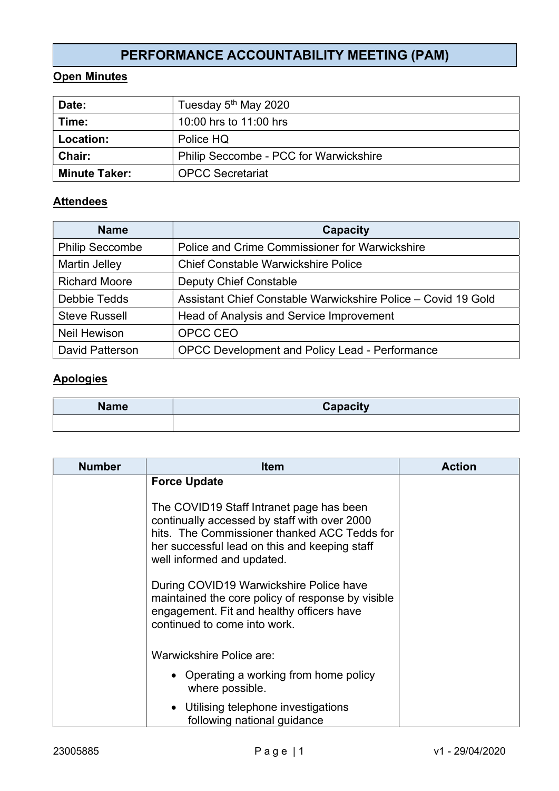# PERFORMANCE ACCOUNTABILITY MEETING (PAM)

### Open Minutes

| Date:                | Tuesday 5 <sup>th</sup> May 2020              |
|----------------------|-----------------------------------------------|
| Time:                | 10:00 hrs to 11:00 hrs                        |
| Location:            | Police HQ                                     |
| <b>Chair:</b>        | <b>Philip Seccombe - PCC for Warwickshire</b> |
| <b>Minute Taker:</b> | <b>OPCC Secretariat</b>                       |

#### **Attendees**

| <b>Name</b>            | Capacity                                                      |
|------------------------|---------------------------------------------------------------|
| <b>Philip Seccombe</b> | Police and Crime Commissioner for Warwickshire                |
| <b>Martin Jelley</b>   | <b>Chief Constable Warwickshire Police</b>                    |
| <b>Richard Moore</b>   | <b>Deputy Chief Constable</b>                                 |
| <b>Debbie Tedds</b>    | Assistant Chief Constable Warwickshire Police – Covid 19 Gold |
| <b>Steve Russell</b>   | Head of Analysis and Service Improvement                      |
| <b>Neil Hewison</b>    | OPCC CEO                                                      |
| David Patterson        | <b>OPCC Development and Policy Lead - Performance</b>         |

### Apologies

| <b>Name</b> | Capacity |
|-------------|----------|
|             |          |

| <b>Number</b> | <b>Item</b>                                                                                                                                                                                                             | <b>Action</b> |
|---------------|-------------------------------------------------------------------------------------------------------------------------------------------------------------------------------------------------------------------------|---------------|
|               | <b>Force Update</b>                                                                                                                                                                                                     |               |
|               | The COVID19 Staff Intranet page has been<br>continually accessed by staff with over 2000<br>hits. The Commissioner thanked ACC Tedds for<br>her successful lead on this and keeping staff<br>well informed and updated. |               |
|               | During COVID19 Warwickshire Police have<br>maintained the core policy of response by visible<br>engagement. Fit and healthy officers have<br>continued to come into work.                                               |               |
|               | Warwickshire Police are:                                                                                                                                                                                                |               |
|               | • Operating a working from home policy<br>where possible.                                                                                                                                                               |               |
|               | • Utilising telephone investigations<br>following national guidance                                                                                                                                                     |               |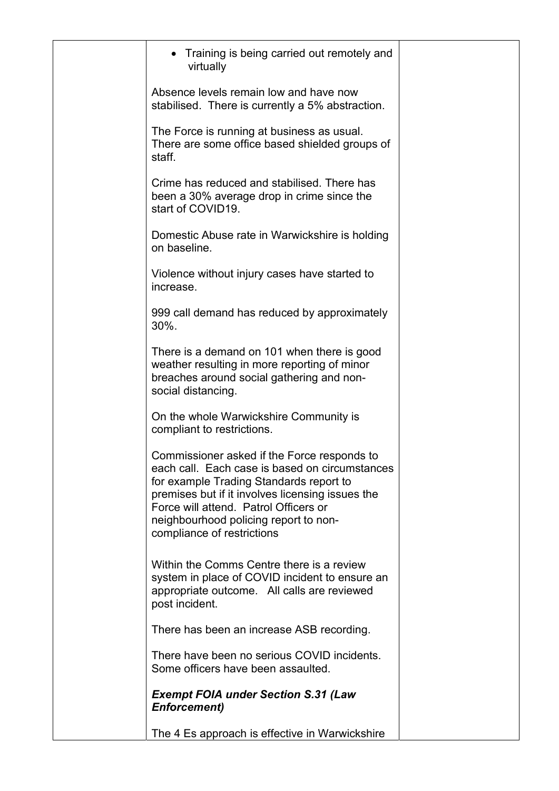| Training is being carried out remotely and<br>virtually                                                                                                                                                                                                                                                      |  |
|--------------------------------------------------------------------------------------------------------------------------------------------------------------------------------------------------------------------------------------------------------------------------------------------------------------|--|
| Absence levels remain low and have now<br>stabilised. There is currently a 5% abstraction.                                                                                                                                                                                                                   |  |
| The Force is running at business as usual.<br>There are some office based shielded groups of<br>staff.                                                                                                                                                                                                       |  |
| Crime has reduced and stabilised. There has<br>been a 30% average drop in crime since the<br>start of COVID19.                                                                                                                                                                                               |  |
| Domestic Abuse rate in Warwickshire is holding<br>on baseline.                                                                                                                                                                                                                                               |  |
| Violence without injury cases have started to<br>increase.                                                                                                                                                                                                                                                   |  |
| 999 call demand has reduced by approximately<br>30%.                                                                                                                                                                                                                                                         |  |
| There is a demand on 101 when there is good<br>weather resulting in more reporting of minor<br>breaches around social gathering and non-<br>social distancing.                                                                                                                                               |  |
| On the whole Warwickshire Community is<br>compliant to restrictions.                                                                                                                                                                                                                                         |  |
| Commissioner asked if the Force responds to<br>each call. Each case is based on circumstances<br>for example Trading Standards report to<br>premises but if it involves licensing issues the<br>Force will attend. Patrol Officers or<br>neighbourhood policing report to non-<br>compliance of restrictions |  |
| Within the Comms Centre there is a review<br>system in place of COVID incident to ensure an<br>appropriate outcome. All calls are reviewed<br>post incident.                                                                                                                                                 |  |
| There has been an increase ASB recording.                                                                                                                                                                                                                                                                    |  |
| There have been no serious COVID incidents.<br>Some officers have been assaulted.                                                                                                                                                                                                                            |  |
| <b>Exempt FOIA under Section S.31 (Law</b><br><b>Enforcement)</b>                                                                                                                                                                                                                                            |  |
| The 4 Es approach is effective in Warwickshire                                                                                                                                                                                                                                                               |  |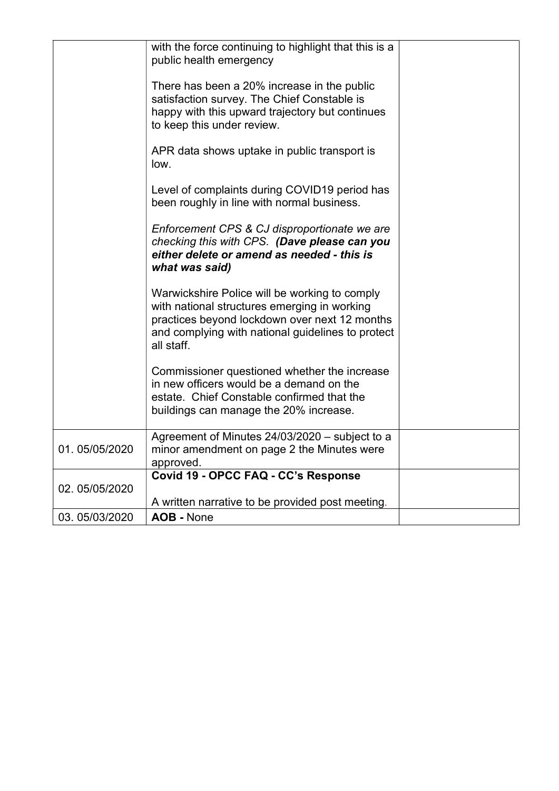|               | with the force continuing to highlight that this is a<br>public health emergency                                                                                                                                  |  |
|---------------|-------------------------------------------------------------------------------------------------------------------------------------------------------------------------------------------------------------------|--|
|               | There has been a 20% increase in the public<br>satisfaction survey. The Chief Constable is<br>happy with this upward trajectory but continues<br>to keep this under review.                                       |  |
|               | APR data shows uptake in public transport is<br>low.                                                                                                                                                              |  |
|               | Level of complaints during COVID19 period has<br>been roughly in line with normal business.                                                                                                                       |  |
|               | Enforcement CPS & CJ disproportionate we are<br>checking this with CPS. (Dave please can you<br>either delete or amend as needed - this is<br>what was said)                                                      |  |
|               | Warwickshire Police will be working to comply<br>with national structures emerging in working<br>practices beyond lockdown over next 12 months<br>and complying with national guidelines to protect<br>all staff. |  |
|               | Commissioner questioned whether the increase<br>in new officers would be a demand on the<br>estate. Chief Constable confirmed that the<br>buildings can manage the 20% increase.                                  |  |
| 01.05/05/2020 | Agreement of Minutes 24/03/2020 - subject to a<br>minor amendment on page 2 the Minutes were<br>approved.                                                                                                         |  |
| 02.05/05/2020 | Covid 19 - OPCC FAQ - CC's Response<br>A written narrative to be provided post meeting.                                                                                                                           |  |
|               |                                                                                                                                                                                                                   |  |
| 03.05/03/2020 | <b>AOB - None</b>                                                                                                                                                                                                 |  |